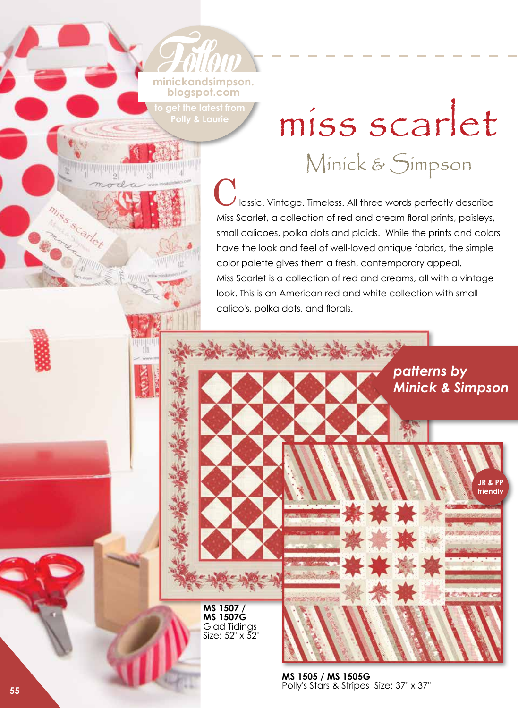**Follow minickandsimpson. blogspot.com to get the latest from**

**Polly & Laurie**

**uting and and and and and and and** 

duluhilinin

## miss scarlet Minick & Simpson

 lassic. Vintage. Timeless. All three words perfectly describe Miss Scarlet, a collection of red and cream floral prints, paisleys, small calicoes, polka dots and plaids. While the prints and colors have the look and feel of well-loved antique fabrics, the simple color palette gives them a fresh, contemporary appeal. Miss Scarlet is a collection of red and creams, all with a vintage look. This is an American red and white collection with small calico's, polka dots, and florals. C

> *patterns by Minick & Simpson*

> > **JR & PP friendly**

**MS 1507 / MS 1507G**  Glad Tidings Size: 52" x 52"

**MS 1505 / MS 1505G**  Polly's Stars & Stripes Size: 37" x 37" **<sup>55</sup>**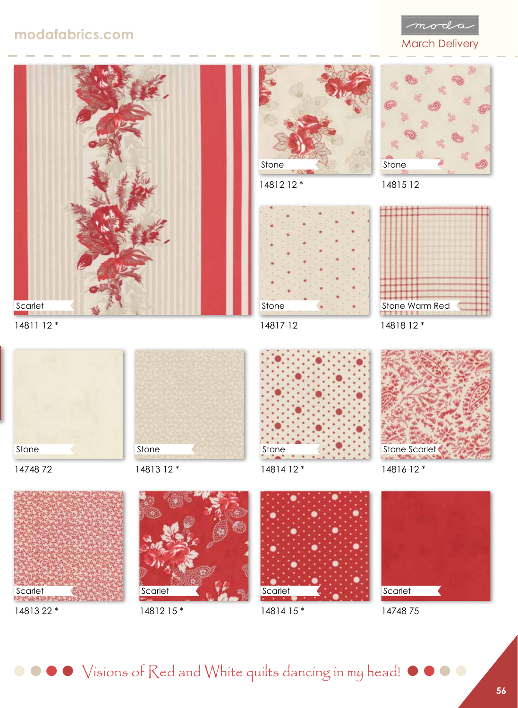



O O O Visions of Red and White quilts dancing in my head! O O O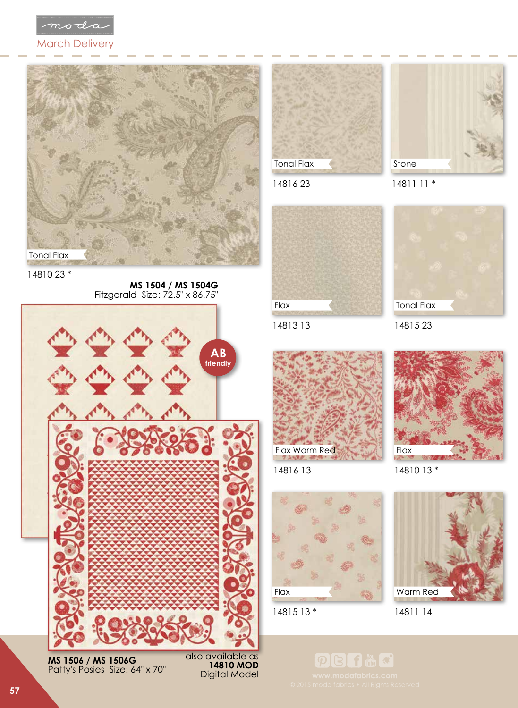



14810 23 \*

**MS 1504 / MS 1504G**  Fitzgerald Size: 72.5" x 86.75"



Patty's Posies Size: 64" x 70"



14816 23



14811 11 \*



14813 13



14815 23



14816 13



PBFHF

14815 13 \*

14810 13 \*

Flax



14811 14

**14810 MOD** Digital Model